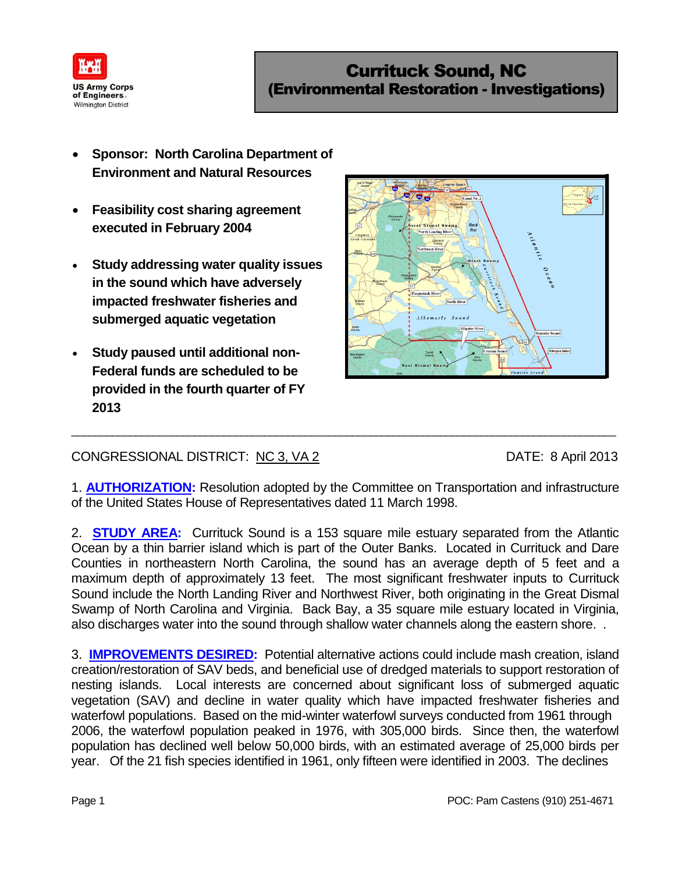

- **Sponsor: North Carolina Department of Environment and Natural Resources**
- **Feasibility cost sharing agreement executed in February 2004**
- **Study addressing water quality issues in the sound which have adversely impacted freshwater fisheries and submerged aquatic vegetation**
- **Study paused until additional non-Federal funds are scheduled to be provided in the fourth quarter of FY 2013**



## CONGRESSIONAL DISTRICT: NC 3, VA 2 DATE: 8 April 2013

1. **AUTHORIZATION:** Resolution adopted by the Committee on Transportation and infrastructure of the United States House of Representatives dated 11 March 1998.

\_\_\_\_\_\_\_\_\_\_\_\_\_\_\_\_\_\_\_\_\_\_\_\_\_\_\_\_\_\_\_\_\_\_\_\_\_\_\_\_\_\_\_\_\_\_\_\_\_\_\_\_\_\_\_\_\_\_\_\_\_\_\_\_\_\_\_\_\_\_\_\_\_\_\_\_\_\_\_\_\_\_\_\_\_\_\_\_\_\_\_\_\_

2. **STUDY AREA:** Currituck Sound is a 153 square mile estuary separated from the Atlantic Ocean by a thin barrier island which is part of the Outer Banks. Located in Currituck and Dare Counties in northeastern North Carolina, the sound has an average depth of 5 feet and a maximum depth of approximately 13 feet. The most significant freshwater inputs to Currituck Sound include the North Landing River and Northwest River, both originating in the Great Dismal Swamp of North Carolina and Virginia. Back Bay, a 35 square mile estuary located in Virginia, also discharges water into the sound through shallow water channels along the eastern shore. .

3. **IMPROVEMENTS DESIRED:** Potential alternative actions could include mash creation, island creation/restoration of SAV beds, and beneficial use of dredged materials to support restoration of nesting islands. Local interests are concerned about significant loss of submerged aquatic vegetation (SAV) and decline in water quality which have impacted freshwater fisheries and waterfowl populations. Based on the mid-winter waterfowl surveys conducted from 1961 through 2006, the waterfowl population peaked in 1976, with 305,000 birds. Since then, the waterfowl population has declined well below 50,000 birds, with an estimated average of 25,000 birds per year. Of the 21 fish species identified in 1961, only fifteen were identified in 2003. The declines